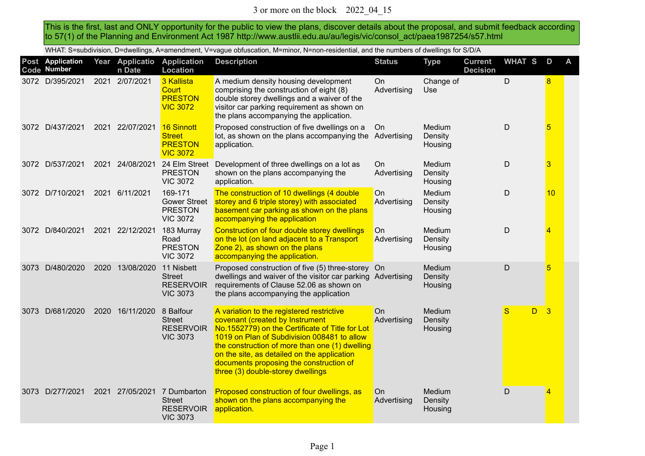This is the first, last and ONLY opportunity for the public to view the plans, discover details about the proposal, and submit feedback according to 57(1) of the Planning and Environment Act 1987 http://www.austlii.edu.au/au/legis/vic/consol\_act/paea1987254/s57.html

WHAT: S=subdivision, D=dwellings, A=amendment, V=vague obfuscation, M=minor, N=non-residential, and the numbers of dwellings for S/D/A

|      | Post Application<br>Code Number |      | Year Applicatio<br>n Date | <b>Application</b><br><b>Location</b>                                               | <b>Description</b>                                                                                                                                                                                                                                                                                                                                              | <b>Status</b>            | <b>Type</b>                  | <b>Current</b><br><b>Decision</b> | <b>WHAT S</b> | D  | A |
|------|---------------------------------|------|---------------------------|-------------------------------------------------------------------------------------|-----------------------------------------------------------------------------------------------------------------------------------------------------------------------------------------------------------------------------------------------------------------------------------------------------------------------------------------------------------------|--------------------------|------------------------------|-----------------------------------|---------------|----|---|
|      | 3072 D/395/2021                 |      | 2021 2/07/2021            | 3 Kallista<br><b>Court</b><br><b>PRESTON</b><br><b>VIC 3072</b>                     | A medium density housing development<br>comprising the construction of eight (8)<br>double storey dwellings and a waiver of the<br>visitor car parking requirement as shown on<br>the plans accompanying the application.                                                                                                                                       | On<br>Advertising        | Change of<br><b>Use</b>      |                                   | D             | 8  |   |
|      | 3072 D/437/2021                 |      | 2021 22/07/2021           | 16 Sinnott<br><b>Street</b><br><b>PRESTON</b><br><b>VIC 3072</b>                    | Proposed construction of five dwellings on a<br>lot, as shown on the plans accompanying the Advertising<br>application.                                                                                                                                                                                                                                         | On                       | Medium<br>Density<br>Housing |                                   | $\mathsf{D}$  | 5  |   |
|      | 3072 D/537/2021                 |      | 2021 24/08/2021           | 24 Elm Street<br><b>PRESTON</b><br><b>VIC 3072</b>                                  | Development of three dwellings on a lot as<br>shown on the plans accompanying the<br>application.                                                                                                                                                                                                                                                               | On<br>Advertising        | Medium<br>Density<br>Housing |                                   | D             | 3  |   |
|      | 3072 D/710/2021                 | 2021 | 6/11/2021                 | 169-171<br><b>Gower Street</b><br><b>PRESTON</b><br><b>VIC 3072</b>                 | The construction of 10 dwellings (4 double<br>storey and 6 triple storey) with associated<br>basement car parking as shown on the plans<br>accompanying the application                                                                                                                                                                                         | On<br>Advertising        | Medium<br>Density<br>Housing |                                   | D             | 10 |   |
|      | 3072 D/840/2021                 |      | 2021 22/12/2021           | 183 Murray<br>Road<br><b>PRESTON</b><br><b>VIC 3072</b>                             | Construction of four double storey dwellings<br>on the lot (on land adjacent to a Transport<br>Zone 2), as shown on the plans<br>accompanying the application.                                                                                                                                                                                                  | On<br>Advertising        | Medium<br>Density<br>Housing |                                   | $\mathsf D$   | 4  |   |
|      | 3073 D/480/2020                 | 2020 | 13/08/2020                | 11 Nisbett<br><b>Street</b><br><b>RESERVOIR</b><br><b>VIC 3073</b>                  | Proposed construction of five (5) three-storey On<br>dwellings and waiver of the visitor car parking Advertising<br>requirements of Clause 52.06 as shown on<br>the plans accompanying the application                                                                                                                                                          |                          | Medium<br>Density<br>Housing |                                   | $\mathsf{D}$  | 5  |   |
| 3073 | D/681/2020                      | 2020 | 16/11/2020                | 8 Balfour<br><b>Street</b><br><b>RESERVOIR</b><br><b>VIC 3073</b>                   | A variation to the registered restrictive<br>covenant (created by Instrument<br>No.1552779) on the Certificate of Title for Lot<br>1019 on Plan of Subdivision 008481 to allow<br>the construction of more than one (1) dwelling<br>on the site, as detailed on the application<br>documents proposing the construction of<br>three (3) double-storey dwellings | On<br>Advertising        | Medium<br>Density<br>Housing |                                   | S<br>D.       | 3  |   |
|      | 3073 D/277/2021                 |      |                           | 2021 27/05/2021 7 Dumbarton<br><b>Street</b><br><b>RESERVOIR</b><br><b>VIC 3073</b> | Proposed construction of four dwellings, as<br>shown on the plans accompanying the<br>application.                                                                                                                                                                                                                                                              | <b>On</b><br>Advertising | Medium<br>Density<br>Housing |                                   | $\mathsf D$   | 4  |   |